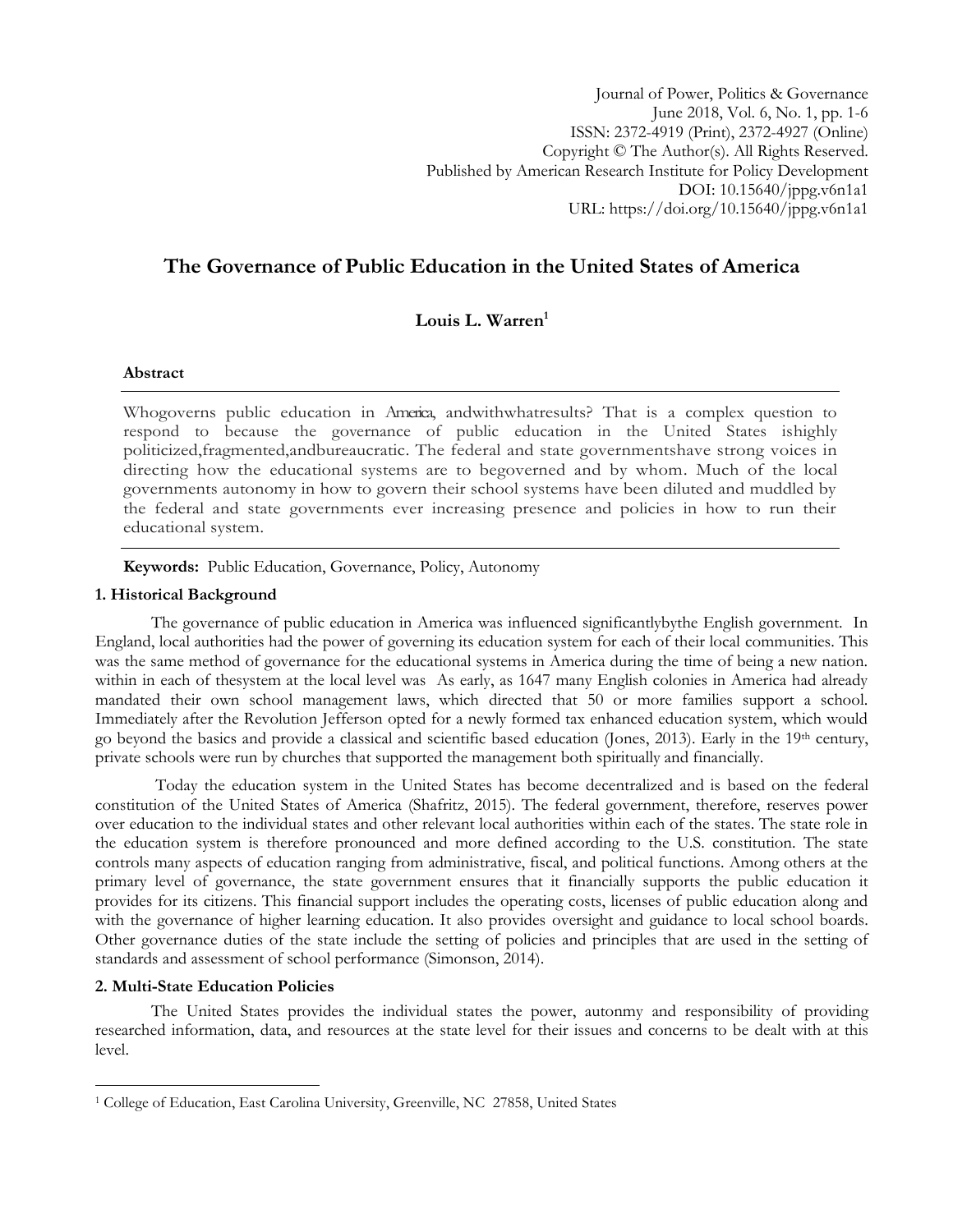Journal of Power, Politics & Governance June 2018, Vol. 6, No. 1, pp. 1-6 ISSN: 2372-4919 (Print), 2372-4927 (Online) Copyright © The Author(s). All Rights Reserved. Published by American Research Institute for Policy Development DOI: 10.15640/jppg.v6n1a1 URL: https://doi.org/10.15640/jppg.v6n1a1

# **The Governance of Public Education in the United States of America**

**Louis L. Warren<sup>1</sup>**

## **Abstract**

Whogoverns public education in America, andwithwhatresults? That is a complex question to respond to because the governance of public education in the United States ishighly politicized,fragmented,andbureaucratic. The federal and state governmentshave strong voices in directing how the educational systems are to begoverned and by whom. Much of the local governments autonomy in how to govern their school systems have been diluted and muddled by the federal and state governments ever increasing presence and policies in how to run their educational system.

**Keywords:** Public Education, Governance, Policy, Autonomy

## **1. Historical Background**

The governance of public education in America was influenced significantlybythe English government. In England, local authorities had the power of governing its education system for each of their local communities. This was the same method of governance for the educational systems in America during the time of being a new nation. within in each of thesystem at the local level was As early, as 1647 many English colonies in America had already mandated their own school management laws, which directed that 50 or more families support a school. Immediately after the Revolution Jefferson opted for a newly formed tax enhanced education system, which would go beyond the basics and provide a classical and scientific based education (Jones, 2013). Early in the 19th century, private schools were run by churches that supported the management both spiritually and financially.

Today the education system in the United States has become decentralized and is based on the federal constitution of the United States of America (Shafritz, 2015). The federal government, therefore, reserves power over education to the individual states and other relevant local authorities within each of the states. The state role in the education system is therefore pronounced and more defined according to the U.S. constitution. The state controls many aspects of education ranging from administrative, fiscal, and political functions. Among others at the primary level of governance, the state government ensures that it financially supports the public education it provides for its citizens. This financial support includes the operating costs, licenses of public education along and with the governance of higher learning education. It also provides oversight and guidance to local school boards. Other governance duties of the state include the setting of policies and principles that are used in the setting of standards and assessment of school performance (Simonson, 2014).

## **2. Multi-State Education Policies**

 $\overline{\phantom{a}}$ 

The United States provides the individual states the power, autonmy and responsibility of providing researched information, data, and resources at the state level for their issues and concerns to be dealt with at this level.

<sup>&</sup>lt;sup>1</sup> College of Education, East Carolina University, Greenville, NC 27858, United States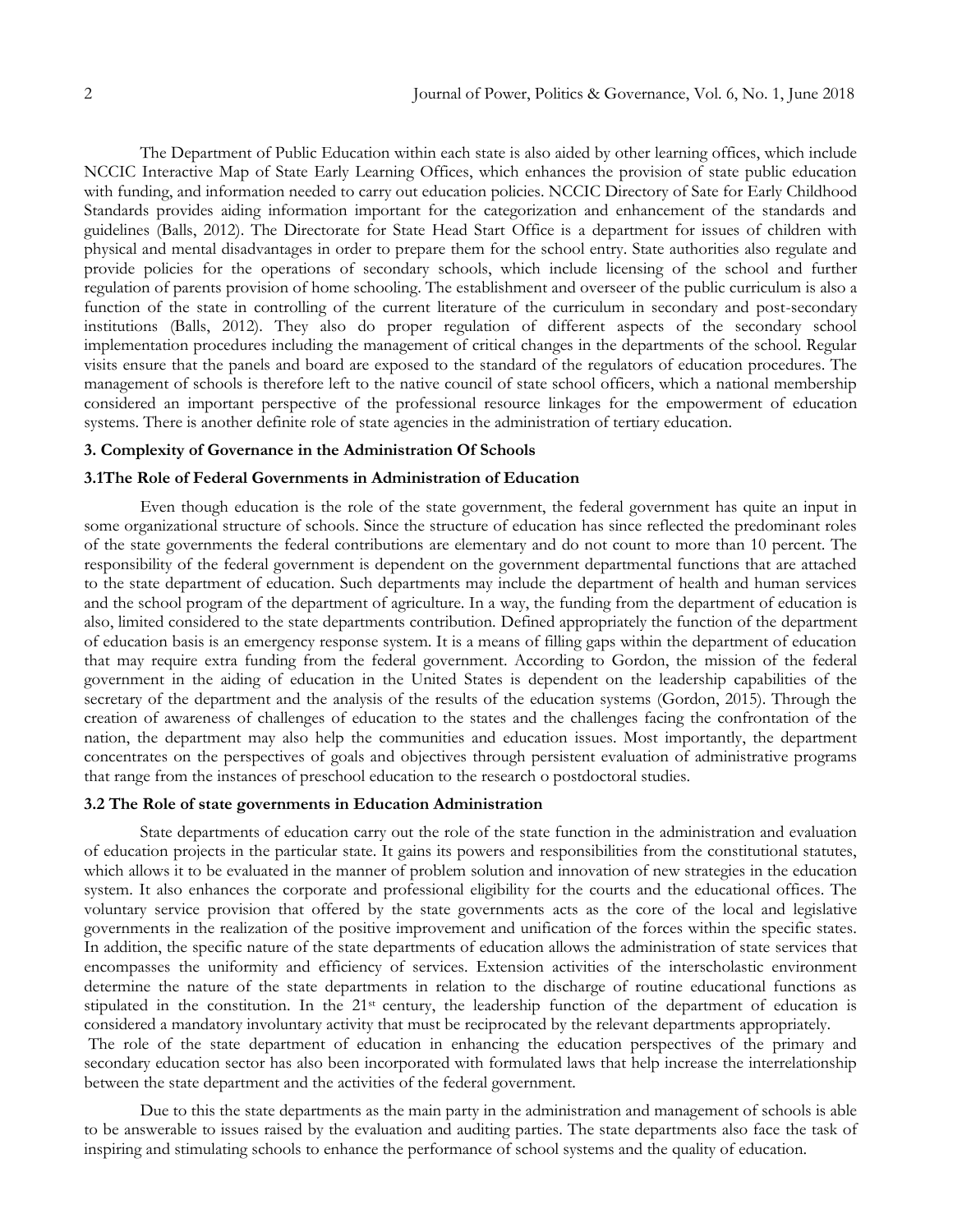The Department of Public Education within each state is also aided by other learning offices, which include NCCIC Interactive Map of State Early Learning Offices, which enhances the provision of state public education with funding, and information needed to carry out education policies. NCCIC Directory of Sate for Early Childhood Standards provides aiding information important for the categorization and enhancement of the standards and guidelines (Balls, 2012). The Directorate for State Head Start Office is a department for issues of children with physical and mental disadvantages in order to prepare them for the school entry. State authorities also regulate and provide policies for the operations of secondary schools, which include licensing of the school and further regulation of parents provision of home schooling. The establishment and overseer of the public curriculum is also a function of the state in controlling of the current literature of the curriculum in secondary and post-secondary institutions (Balls, 2012). They also do proper regulation of different aspects of the secondary school implementation procedures including the management of critical changes in the departments of the school. Regular visits ensure that the panels and board are exposed to the standard of the regulators of education procedures. The management of schools is therefore left to the native council of state school officers, which a national membership considered an important perspective of the professional resource linkages for the empowerment of education systems. There is another definite role of state agencies in the administration of tertiary education.

#### **3. Complexity of Governance in the Administration Of Schools**

#### **3.1The Role of Federal Governments in Administration of Education**

Even though education is the role of the state government, the federal government has quite an input in some organizational structure of schools. Since the structure of education has since reflected the predominant roles of the state governments the federal contributions are elementary and do not count to more than 10 percent. The responsibility of the federal government is dependent on the government departmental functions that are attached to the state department of education. Such departments may include the department of health and human services and the school program of the department of agriculture. In a way, the funding from the department of education is also, limited considered to the state departments contribution. Defined appropriately the function of the department of education basis is an emergency response system. It is a means of filling gaps within the department of education that may require extra funding from the federal government. According to Gordon, the mission of the federal government in the aiding of education in the United States is dependent on the leadership capabilities of the secretary of the department and the analysis of the results of the education systems (Gordon, 2015). Through the creation of awareness of challenges of education to the states and the challenges facing the confrontation of the nation, the department may also help the communities and education issues. Most importantly, the department concentrates on the perspectives of goals and objectives through persistent evaluation of administrative programs that range from the instances of preschool education to the research o postdoctoral studies.

### **3.2 The Role of state governments in Education Administration**

State departments of education carry out the role of the state function in the administration and evaluation of education projects in the particular state. It gains its powers and responsibilities from the constitutional statutes, which allows it to be evaluated in the manner of problem solution and innovation of new strategies in the education system. It also enhances the corporate and professional eligibility for the courts and the educational offices. The voluntary service provision that offered by the state governments acts as the core of the local and legislative governments in the realization of the positive improvement and unification of the forces within the specific states. In addition, the specific nature of the state departments of education allows the administration of state services that encompasses the uniformity and efficiency of services. Extension activities of the interscholastic environment determine the nature of the state departments in relation to the discharge of routine educational functions as stipulated in the constitution. In the 21<sup>st</sup> century, the leadership function of the department of education is considered a mandatory involuntary activity that must be reciprocated by the relevant departments appropriately. The role of the state department of education in enhancing the education perspectives of the primary and

secondary education sector has also been incorporated with formulated laws that help increase the interrelationship between the state department and the activities of the federal government.

Due to this the state departments as the main party in the administration and management of schools is able to be answerable to issues raised by the evaluation and auditing parties. The state departments also face the task of inspiring and stimulating schools to enhance the performance of school systems and the quality of education.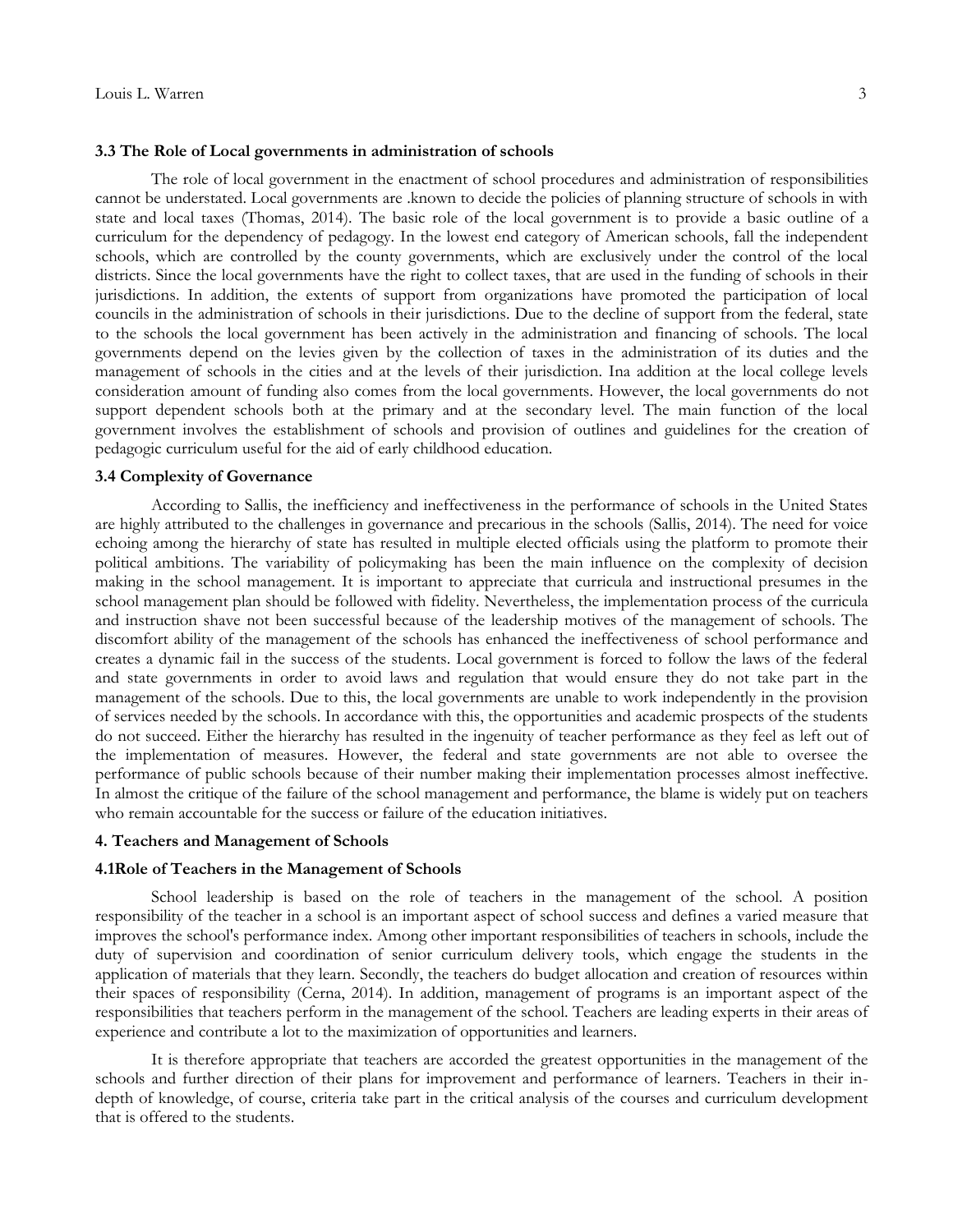#### **3.3 The Role of Local governments in administration of schools**

The role of local government in the enactment of school procedures and administration of responsibilities cannot be understated. Local governments are .known to decide the policies of planning structure of schools in with state and local taxes (Thomas, 2014). The basic role of the local government is to provide a basic outline of a curriculum for the dependency of pedagogy. In the lowest end category of American schools, fall the independent schools, which are controlled by the county governments, which are exclusively under the control of the local districts. Since the local governments have the right to collect taxes, that are used in the funding of schools in their jurisdictions. In addition, the extents of support from organizations have promoted the participation of local councils in the administration of schools in their jurisdictions. Due to the decline of support from the federal, state to the schools the local government has been actively in the administration and financing of schools. The local governments depend on the levies given by the collection of taxes in the administration of its duties and the management of schools in the cities and at the levels of their jurisdiction. Ina addition at the local college levels consideration amount of funding also comes from the local governments. However, the local governments do not support dependent schools both at the primary and at the secondary level. The main function of the local government involves the establishment of schools and provision of outlines and guidelines for the creation of pedagogic curriculum useful for the aid of early childhood education.

#### **3.4 Complexity of Governance**

According to Sallis, the inefficiency and ineffectiveness in the performance of schools in the United States are highly attributed to the challenges in governance and precarious in the schools (Sallis, 2014). The need for voice echoing among the hierarchy of state has resulted in multiple elected officials using the platform to promote their political ambitions. The variability of policymaking has been the main influence on the complexity of decision making in the school management. It is important to appreciate that curricula and instructional presumes in the school management plan should be followed with fidelity. Nevertheless, the implementation process of the curricula and instruction shave not been successful because of the leadership motives of the management of schools. The discomfort ability of the management of the schools has enhanced the ineffectiveness of school performance and creates a dynamic fail in the success of the students. Local government is forced to follow the laws of the federal and state governments in order to avoid laws and regulation that would ensure they do not take part in the management of the schools. Due to this, the local governments are unable to work independently in the provision of services needed by the schools. In accordance with this, the opportunities and academic prospects of the students do not succeed. Either the hierarchy has resulted in the ingenuity of teacher performance as they feel as left out of the implementation of measures. However, the federal and state governments are not able to oversee the performance of public schools because of their number making their implementation processes almost ineffective. In almost the critique of the failure of the school management and performance, the blame is widely put on teachers who remain accountable for the success or failure of the education initiatives.

### **4. Teachers and Management of Schools**

#### **4.1Role of Teachers in the Management of Schools**

School leadership is based on the role of teachers in the management of the school. A position responsibility of the teacher in a school is an important aspect of school success and defines a varied measure that improves the school's performance index. Among other important responsibilities of teachers in schools, include the duty of supervision and coordination of senior curriculum delivery tools, which engage the students in the application of materials that they learn. Secondly, the teachers do budget allocation and creation of resources within their spaces of responsibility (Cerna, 2014). In addition, management of programs is an important aspect of the responsibilities that teachers perform in the management of the school. Teachers are leading experts in their areas of experience and contribute a lot to the maximization of opportunities and learners.

It is therefore appropriate that teachers are accorded the greatest opportunities in the management of the schools and further direction of their plans for improvement and performance of learners. Teachers in their indepth of knowledge, of course, criteria take part in the critical analysis of the courses and curriculum development that is offered to the students.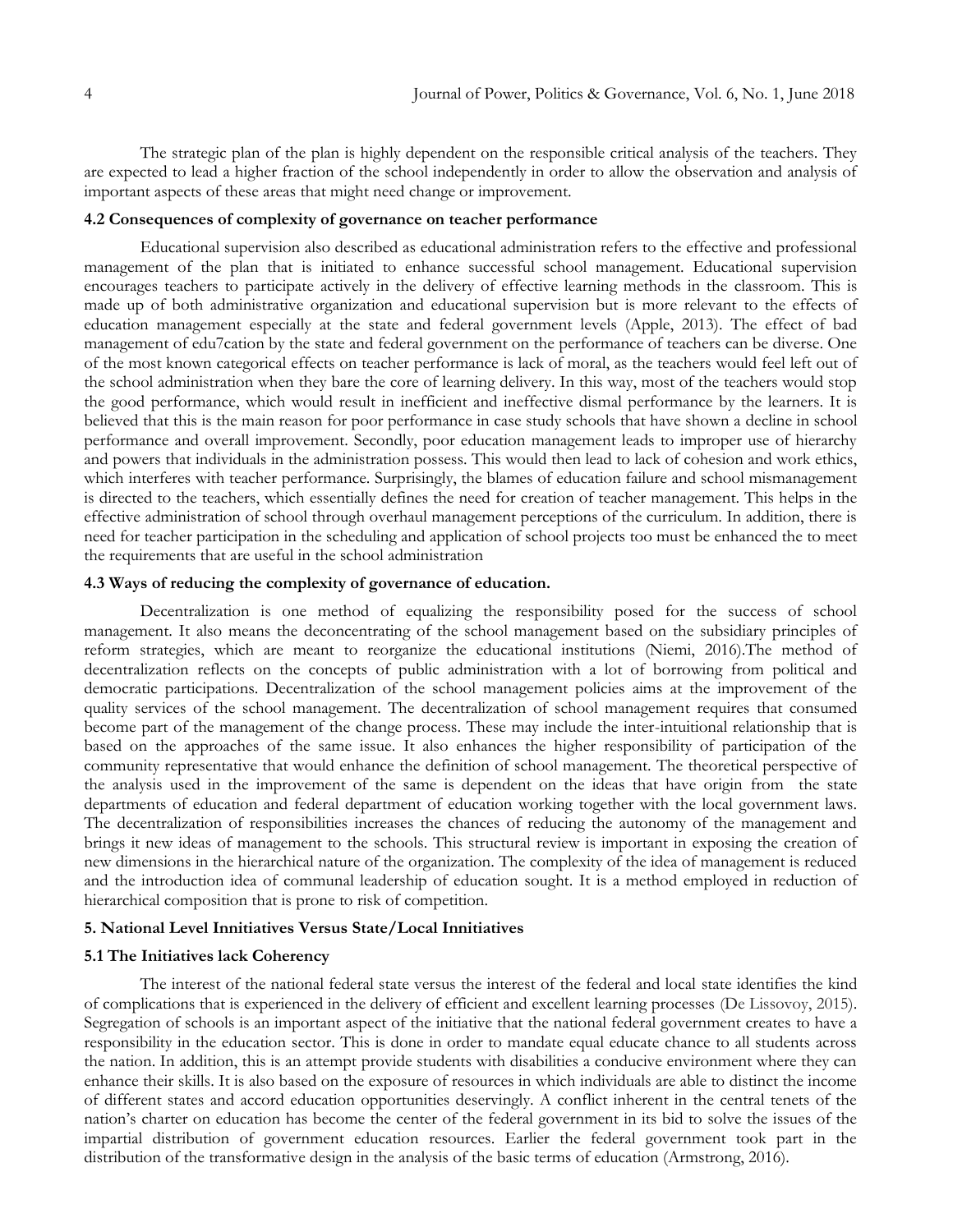The strategic plan of the plan is highly dependent on the responsible critical analysis of the teachers. They are expected to lead a higher fraction of the school independently in order to allow the observation and analysis of important aspects of these areas that might need change or improvement.

## **4.2 Consequences of complexity of governance on teacher performance**

Educational supervision also described as educational administration refers to the effective and professional management of the plan that is initiated to enhance successful school management. Educational supervision encourages teachers to participate actively in the delivery of effective learning methods in the classroom. This is made up of both administrative organization and educational supervision but is more relevant to the effects of education management especially at the state and federal government levels (Apple, 2013). The effect of bad management of edu7cation by the state and federal government on the performance of teachers can be diverse. One of the most known categorical effects on teacher performance is lack of moral, as the teachers would feel left out of the school administration when they bare the core of learning delivery. In this way, most of the teachers would stop the good performance, which would result in inefficient and ineffective dismal performance by the learners. It is believed that this is the main reason for poor performance in case study schools that have shown a decline in school performance and overall improvement. Secondly, poor education management leads to improper use of hierarchy and powers that individuals in the administration possess. This would then lead to lack of cohesion and work ethics, which interferes with teacher performance. Surprisingly, the blames of education failure and school mismanagement is directed to the teachers, which essentially defines the need for creation of teacher management. This helps in the effective administration of school through overhaul management perceptions of the curriculum. In addition, there is need for teacher participation in the scheduling and application of school projects too must be enhanced the to meet the requirements that are useful in the school administration

## **4.3 Ways of reducing the complexity of governance of education.**

Decentralization is one method of equalizing the responsibility posed for the success of school management. It also means the deconcentrating of the school management based on the subsidiary principles of reform strategies, which are meant to reorganize the educational institutions (Niemi, 2016).The method of decentralization reflects on the concepts of public administration with a lot of borrowing from political and democratic participations. Decentralization of the school management policies aims at the improvement of the quality services of the school management. The decentralization of school management requires that consumed become part of the management of the change process. These may include the inter-intuitional relationship that is based on the approaches of the same issue. It also enhances the higher responsibility of participation of the community representative that would enhance the definition of school management. The theoretical perspective of the analysis used in the improvement of the same is dependent on the ideas that have origin from the state departments of education and federal department of education working together with the local government laws. The decentralization of responsibilities increases the chances of reducing the autonomy of the management and brings it new ideas of management to the schools. This structural review is important in exposing the creation of new dimensions in the hierarchical nature of the organization. The complexity of the idea of management is reduced and the introduction idea of communal leadership of education sought. It is a method employed in reduction of hierarchical composition that is prone to risk of competition.

#### **5. National Level Innitiatives Versus State/Local Innitiatives**

## **5.1 The Initiatives lack Coherency**

The interest of the national federal state versus the interest of the federal and local state identifies the kind of complications that is experienced in the delivery of efficient and excellent learning processes (De Lissovoy, 2015). Segregation of schools is an important aspect of the initiative that the national federal government creates to have a responsibility in the education sector. This is done in order to mandate equal educate chance to all students across the nation. In addition, this is an attempt provide students with disabilities a conducive environment where they can enhance their skills. It is also based on the exposure of resources in which individuals are able to distinct the income of different states and accord education opportunities deservingly. A conflict inherent in the central tenets of the nation's charter on education has become the center of the federal government in its bid to solve the issues of the impartial distribution of government education resources. Earlier the federal government took part in the distribution of the transformative design in the analysis of the basic terms of education (Armstrong, 2016).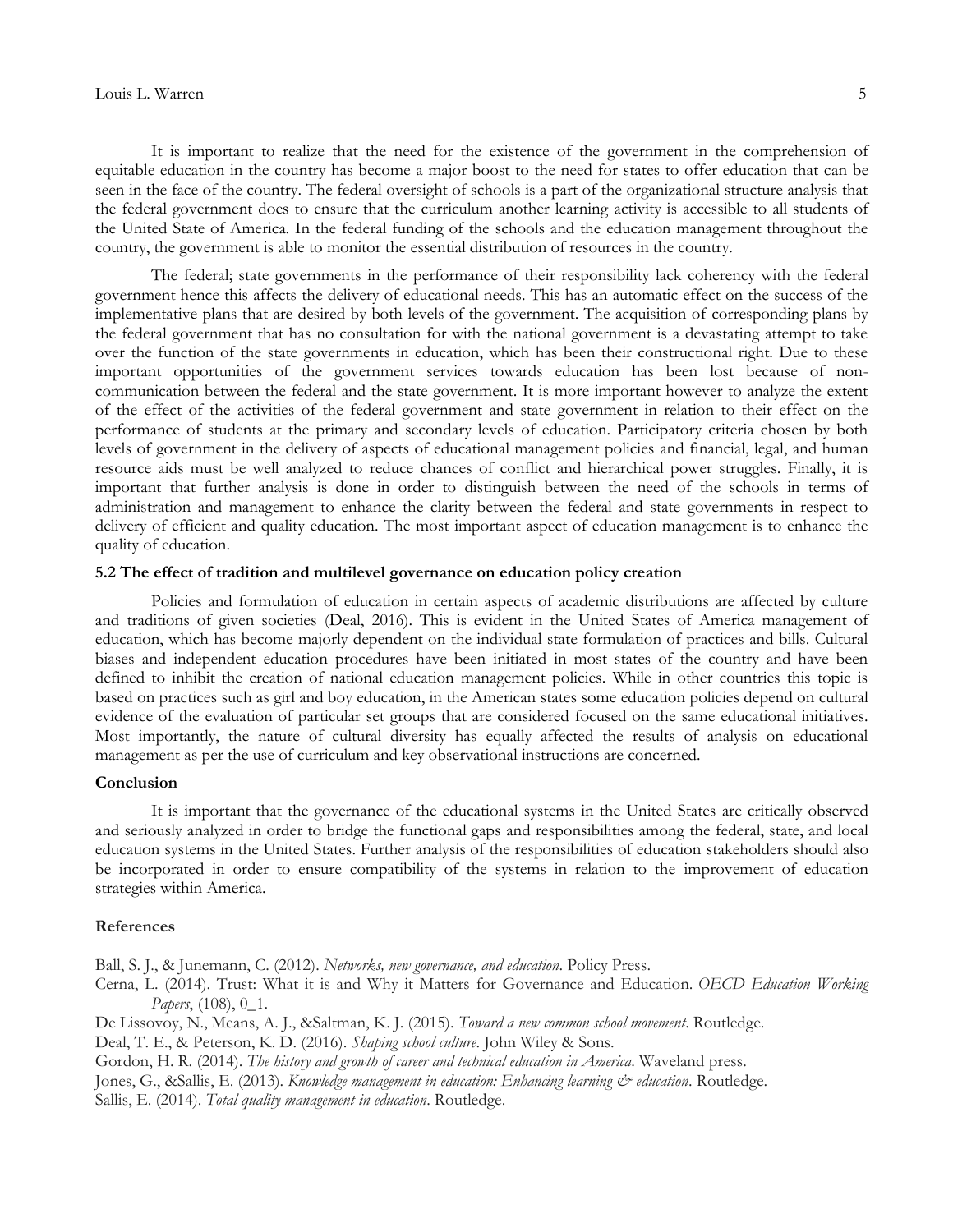It is important to realize that the need for the existence of the government in the comprehension of equitable education in the country has become a major boost to the need for states to offer education that can be seen in the face of the country. The federal oversight of schools is a part of the organizational structure analysis that the federal government does to ensure that the curriculum another learning activity is accessible to all students of the United State of America. In the federal funding of the schools and the education management throughout the country, the government is able to monitor the essential distribution of resources in the country.

The federal; state governments in the performance of their responsibility lack coherency with the federal government hence this affects the delivery of educational needs. This has an automatic effect on the success of the implementative plans that are desired by both levels of the government. The acquisition of corresponding plans by the federal government that has no consultation for with the national government is a devastating attempt to take over the function of the state governments in education, which has been their constructional right. Due to these important opportunities of the government services towards education has been lost because of noncommunication between the federal and the state government. It is more important however to analyze the extent of the effect of the activities of the federal government and state government in relation to their effect on the performance of students at the primary and secondary levels of education. Participatory criteria chosen by both levels of government in the delivery of aspects of educational management policies and financial, legal, and human resource aids must be well analyzed to reduce chances of conflict and hierarchical power struggles. Finally, it is important that further analysis is done in order to distinguish between the need of the schools in terms of administration and management to enhance the clarity between the federal and state governments in respect to delivery of efficient and quality education. The most important aspect of education management is to enhance the quality of education.

### **5.2 The effect of tradition and multilevel governance on education policy creation**

Policies and formulation of education in certain aspects of academic distributions are affected by culture and traditions of given societies (Deal, 2016). This is evident in the United States of America management of education, which has become majorly dependent on the individual state formulation of practices and bills. Cultural biases and independent education procedures have been initiated in most states of the country and have been defined to inhibit the creation of national education management policies. While in other countries this topic is based on practices such as girl and boy education, in the American states some education policies depend on cultural evidence of the evaluation of particular set groups that are considered focused on the same educational initiatives. Most importantly, the nature of cultural diversity has equally affected the results of analysis on educational management as per the use of curriculum and key observational instructions are concerned.

### **Conclusion**

It is important that the governance of the educational systems in the United States are critically observed and seriously analyzed in order to bridge the functional gaps and responsibilities among the federal, state, and local education systems in the United States. Further analysis of the responsibilities of education stakeholders should also be incorporated in order to ensure compatibility of the systems in relation to the improvement of education strategies within America.

#### **References**

Ball, S. J., & Junemann, C. (2012). *Networks, new governance, and education*. Policy Press.

Cerna, L. (2014). Trust: What it is and Why it Matters for Governance and Education. *OECD Education Working Papers*, (108), 0\_1.

De Lissovoy, N., Means, A. J., &Saltman, K. J. (2015). *Toward a new common school movement*. Routledge.

Deal, T. E., & Peterson, K. D. (2016). *Shaping school culture*. John Wiley & Sons.

Gordon, H. R. (2014). *The history and growth of career and technical education in America*. Waveland press.

Jones, G., &Sallis, E. (2013). *Knowledge management in education: Enhancing learning & education*. Routledge.

Sallis, E. (2014). *Total quality management in education*. Routledge.